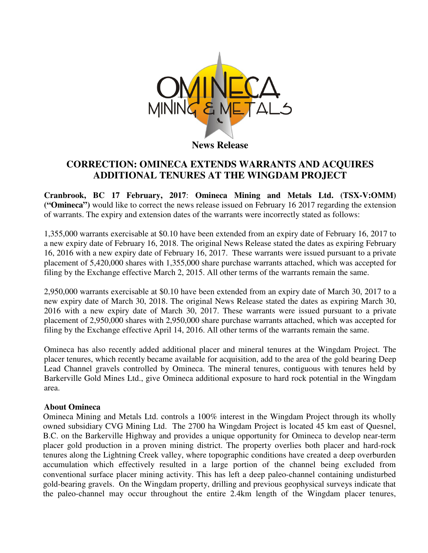

## **CORRECTION: OMINECA EXTENDS WARRANTS AND ACQUIRES ADDITIONAL TENURES AT THE WINGDAM PROJECT**

**Cranbrook, BC 17 February, 2017**: **Omineca Mining and Metals Ltd. (TSX-V:OMM) ("Omineca")** would like to correct the news release issued on February 16 2017 regarding the extension of warrants. The expiry and extension dates of the warrants were incorrectly stated as follows:

1,355,000 warrants exercisable at \$0.10 have been extended from an expiry date of February 16, 2017 to a new expiry date of February 16, 2018. The original News Release stated the dates as expiring February 16, 2016 with a new expiry date of February 16, 2017. These warrants were issued pursuant to a private placement of 5,420,000 shares with 1,355,000 share purchase warrants attached, which was accepted for filing by the Exchange effective March 2, 2015. All other terms of the warrants remain the same.

2,950,000 warrants exercisable at \$0.10 have been extended from an expiry date of March 30, 2017 to a new expiry date of March 30, 2018. The original News Release stated the dates as expiring March 30, 2016 with a new expiry date of March 30, 2017. These warrants were issued pursuant to a private placement of 2,950,000 shares with 2,950,000 share purchase warrants attached, which was accepted for filing by the Exchange effective April 14, 2016. All other terms of the warrants remain the same.

Omineca has also recently added additional placer and mineral tenures at the Wingdam Project. The placer tenures, which recently became available for acquisition, add to the area of the gold bearing Deep Lead Channel gravels controlled by Omineca. The mineral tenures, contiguous with tenures held by Barkerville Gold Mines Ltd., give Omineca additional exposure to hard rock potential in the Wingdam area.

## **About Omineca**

Omineca Mining and Metals Ltd. controls a 100% interest in the Wingdam Project through its wholly owned subsidiary CVG Mining Ltd. The 2700 ha Wingdam Project is located 45 km east of Quesnel, B.C. on the Barkerville Highway and provides a unique opportunity for Omineca to develop near-term placer gold production in a proven mining district. The property overlies both placer and hard-rock tenures along the Lightning Creek valley, where topographic conditions have created a deep overburden accumulation which effectively resulted in a large portion of the channel being excluded from conventional surface placer mining activity. This has left a deep paleo-channel containing undisturbed gold-bearing gravels. On the Wingdam property, drilling and previous geophysical surveys indicate that the paleo-channel may occur throughout the entire 2.4km length of the Wingdam placer tenures,